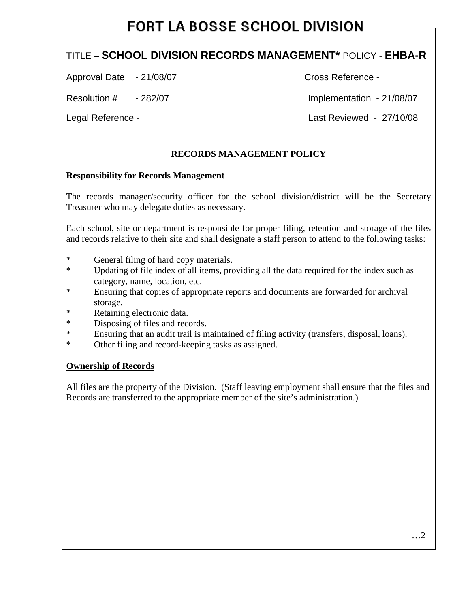# **FORT LA BOSSE SCHOOL DIVISION**

## TITLE – **SCHOOL DIVISION RECORDS MANAGEMENT\*** POLICY - **EHBA-R**

Approval Date - 21/08/07 Cross Reference -

Resolution #  $-282/07$  Implementation - 21/08/07

Legal Reference - Last Reviewed - 27/10/08

## **RECORDS MANAGEMENT POLICY**

#### **Responsibility for Records Management**

The records manager/security officer for the school division/district will be the Secretary Treasurer who may delegate duties as necessary.

Each school, site or department is responsible for proper filing, retention and storage of the files and records relative to their site and shall designate a staff person to attend to the following tasks:

- \* General filing of hard copy materials.
- \* Updating of file index of all items, providing all the data required for the index such as category, name, location, etc.
- \* Ensuring that copies of appropriate reports and documents are forwarded for archival storage.
- \* Retaining electronic data.
- \* Disposing of files and records.
- \* Ensuring that an audit trail is maintained of filing activity (transfers, disposal, loans).
- \* Other filing and record-keeping tasks as assigned.

#### **Ownership of Records**

All files are the property of the Division. (Staff leaving employment shall ensure that the files and Records are transferred to the appropriate member of the site's administration.)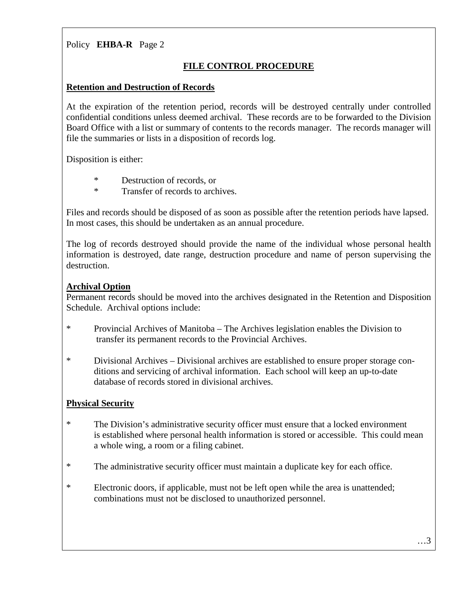## **FILE CONTROL PROCEDURE**

#### **Retention and Destruction of Records**

At the expiration of the retention period, records will be destroyed centrally under controlled confidential conditions unless deemed archival. These records are to be forwarded to the Division Board Office with a list or summary of contents to the records manager. The records manager will file the summaries or lists in a disposition of records log.

Disposition is either:

- \* Destruction of records, or<br>Transfer of records to arch
	- Transfer of records to archives.

Files and records should be disposed of as soon as possible after the retention periods have lapsed. In most cases, this should be undertaken as an annual procedure.

The log of records destroyed should provide the name of the individual whose personal health information is destroyed, date range, destruction procedure and name of person supervising the destruction.

## **Archival Option**

Permanent records should be moved into the archives designated in the Retention and Disposition Schedule. Archival options include:

- \* Provincial Archives of Manitoba The Archives legislation enables the Division to transfer its permanent records to the Provincial Archives.
- \* Divisional Archives Divisional archives are established to ensure proper storage conditions and servicing of archival information. Each school will keep an up-to-date database of records stored in divisional archives.

## **Physical Security**

- \* The Division's administrative security officer must ensure that a locked environment is established where personal health information is stored or accessible. This could mean a whole wing, a room or a filing cabinet.
- \* The administrative security officer must maintain a duplicate key for each office.
- \* Electronic doors, if applicable, must not be left open while the area is unattended; combinations must not be disclosed to unauthorized personnel.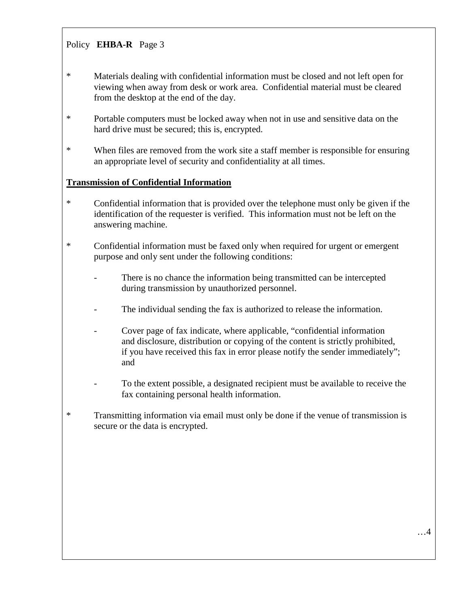- \* Materials dealing with confidential information must be closed and not left open for viewing when away from desk or work area. Confidential material must be cleared from the desktop at the end of the day.
- \* Portable computers must be locked away when not in use and sensitive data on the hard drive must be secured; this is, encrypted.
- \* When files are removed from the work site a staff member is responsible for ensuring an appropriate level of security and confidentiality at all times.

#### **Transmission of Confidential Information**

- \* Confidential information that is provided over the telephone must only be given if the identification of the requester is verified. This information must not be left on the answering machine.
- \* Confidential information must be faxed only when required for urgent or emergent purpose and only sent under the following conditions:
	- There is no chance the information being transmitted can be intercepted during transmission by unauthorized personnel.
	- The individual sending the fax is authorized to release the information.
	- Cover page of fax indicate, where applicable, "confidential information and disclosure, distribution or copying of the content is strictly prohibited, if you have received this fax in error please notify the sender immediately"; and
	- To the extent possible, a designated recipient must be available to receive the fax containing personal health information.
- \* Transmitting information via email must only be done if the venue of transmission is secure or the data is encrypted.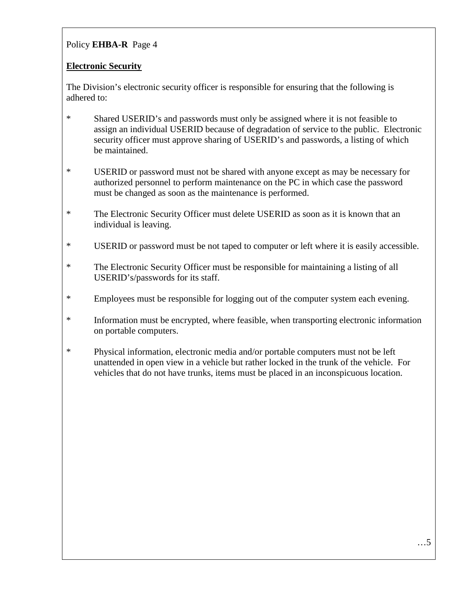## **Electronic Security**

The Division's electronic security officer is responsible for ensuring that the following is adhered to:

- \* Shared USERID's and passwords must only be assigned where it is not feasible to assign an individual USERID because of degradation of service to the public. Electronic security officer must approve sharing of USERID's and passwords, a listing of which be maintained.
- \* USERID or password must not be shared with anyone except as may be necessary for authorized personnel to perform maintenance on the PC in which case the password must be changed as soon as the maintenance is performed.
- \* The Electronic Security Officer must delete USERID as soon as it is known that an individual is leaving.
- \* USERID or password must be not taped to computer or left where it is easily accessible.
- \* The Electronic Security Officer must be responsible for maintaining a listing of all USERID's/passwords for its staff.
- \* Employees must be responsible for logging out of the computer system each evening.
- \* Information must be encrypted, where feasible, when transporting electronic information on portable computers.
- \* Physical information, electronic media and/or portable computers must not be left unattended in open view in a vehicle but rather locked in the trunk of the vehicle. For vehicles that do not have trunks, items must be placed in an inconspicuous location.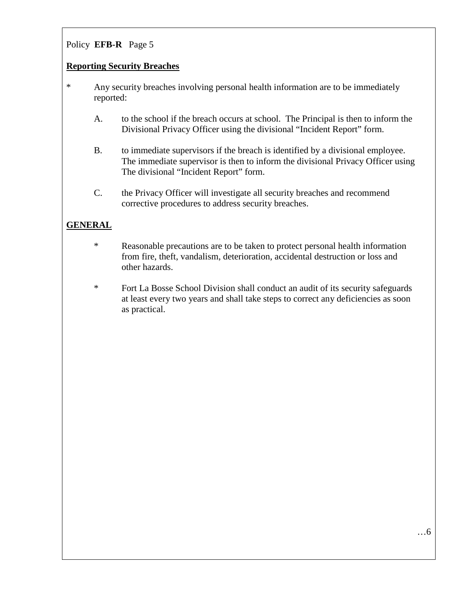#### **Reporting Security Breaches**

- \* Any security breaches involving personal health information are to be immediately reported:
	- A. to the school if the breach occurs at school. The Principal is then to inform the Divisional Privacy Officer using the divisional "Incident Report" form.
	- B. to immediate supervisors if the breach is identified by a divisional employee. The immediate supervisor is then to inform the divisional Privacy Officer using The divisional "Incident Report" form.
	- C. the Privacy Officer will investigate all security breaches and recommend corrective procedures to address security breaches.

## **GENERAL**

- \* Reasonable precautions are to be taken to protect personal health information from fire, theft, vandalism, deterioration, accidental destruction or loss and other hazards.
- \* Fort La Bosse School Division shall conduct an audit of its security safeguards at least every two years and shall take steps to correct any deficiencies as soon as practical.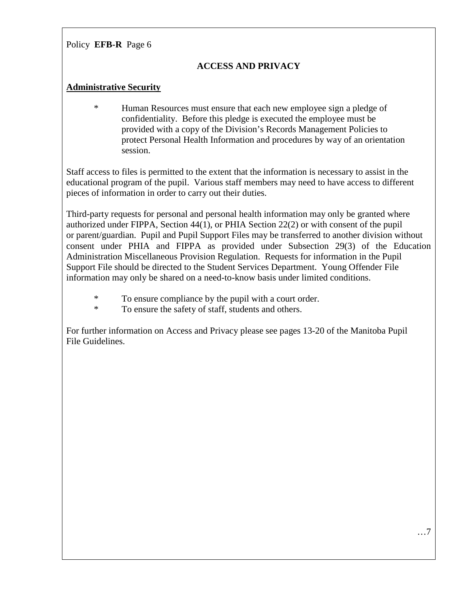## **ACCESS AND PRIVACY**

#### **Administrative Security**

\* Human Resources must ensure that each new employee sign a pledge of confidentiality. Before this pledge is executed the employee must be provided with a copy of the Division's Records Management Policies to protect Personal Health Information and procedures by way of an orientation session.

Staff access to files is permitted to the extent that the information is necessary to assist in the educational program of the pupil. Various staff members may need to have access to different pieces of information in order to carry out their duties.

Third-party requests for personal and personal health information may only be granted where authorized under FIPPA, Section 44(1), or PHIA Section 22(2) or with consent of the pupil or parent/guardian. Pupil and Pupil Support Files may be transferred to another division without consent under PHIA and FIPPA as provided under Subsection 29(3) of the Education Administration Miscellaneous Provision Regulation. Requests for information in the Pupil Support File should be directed to the Student Services Department. Young Offender File information may only be shared on a need-to-know basis under limited conditions.

\* To ensure compliance by the pupil with a court order.<br>To ensure the safety of staff students and others

To ensure the safety of staff, students and others.

For further information on Access and Privacy please see pages 13-20 of the Manitoba Pupil File Guidelines.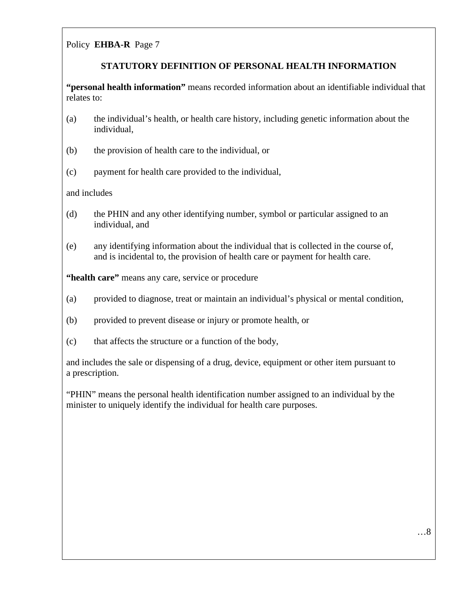## **STATUTORY DEFINITION OF PERSONAL HEALTH INFORMATION**

**"personal health information"** means recorded information about an identifiable individual that relates to:

- (a) the individual's health, or health care history, including genetic information about the individual,
- (b) the provision of health care to the individual, or
- (c) payment for health care provided to the individual,

and includes

- (d) the PHIN and any other identifying number, symbol or particular assigned to an individual, and
- (e) any identifying information about the individual that is collected in the course of, and is incidental to, the provision of health care or payment for health care.

**"health care"** means any care, service or procedure

- (a) provided to diagnose, treat or maintain an individual's physical or mental condition,
- (b) provided to prevent disease or injury or promote health, or
- (c) that affects the structure or a function of the body,

and includes the sale or dispensing of a drug, device, equipment or other item pursuant to a prescription.

"PHIN" means the personal health identification number assigned to an individual by the minister to uniquely identify the individual for health care purposes.